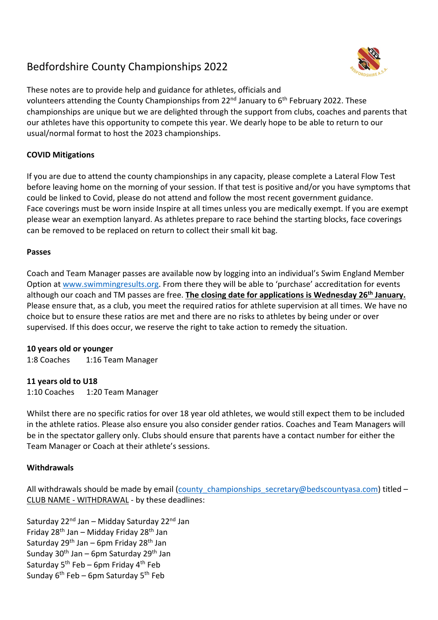# Bedfordshire County Championships 2022



These notes are to provide help and guidance for athletes, officials and volunteers attending the County Championships from 22<sup>nd</sup> January to  $6<sup>th</sup>$  February 2022. These championships are unique but we are delighted through the support from clubs, coaches and parents that our athletes have this opportunity to compete this year. We dearly hope to be able to return to our usual/normal format to host the 2023 championships.

# **COVID Mitigations**

If you are due to attend the county championships in any capacity, please complete a Lateral Flow Test before leaving home on the morning of your session. If that test is positive and/or you have symptoms that could be linked to Covid, please do not attend and follow the most recent government guidance. Face coverings must be worn inside Inspire at all times unless you are medically exempt. If you are exempt please wear an exemption lanyard. As athletes prepare to race behind the starting blocks, face coverings can be removed to be replaced on return to collect their small kit bag.

## **Passes**

Coach and Team Manager passes are available now by logging into an individual's Swim England Member Option at www.swimmingresults.org. From there they will be able to 'purchase' accreditation for events although our coach and TM passes are free. **The closing date for applications is Wednesday 26th January.** Please ensure that, as a club, you meet the required ratios for athlete supervision at all times. We have no choice but to ensure these ratios are met and there are no risks to athletes by being under or over supervised. If this does occur, we reserve the right to take action to remedy the situation.

#### **10 years old or younger**

1:8 Coaches 1:16 Team Manager

# **11 years old to U18**

1:10 Coaches 1:20 Team Manager

Whilst there are no specific ratios for over 18 year old athletes, we would still expect them to be included in the athlete ratios. Please also ensure you also consider gender ratios. Coaches and Team Managers will be in the spectator gallery only. Clubs should ensure that parents have a contact number for either the Team Manager or Coach at their athlete's sessions.

# **Withdrawals**

All withdrawals should be made by email (county\_championships\_secretary@bedscountyasa.com) titled – CLUB NAME - WITHDRAWAL - by these deadlines:

Saturday 22<sup>nd</sup> Jan – Midday Saturday 22<sup>nd</sup> Jan Friday 28th Jan – Midday Friday 28th Jan Saturday  $29^{th}$  Jan – 6pm Friday  $28^{th}$  Jan Sunday  $30<sup>th</sup>$  Jan – 6pm Saturday  $29<sup>th</sup>$  Jan Saturday  $5^{th}$  Feb – 6pm Friday  $4^{th}$  Feb Sunday  $6<sup>th</sup>$  Feb – 6pm Saturday  $5<sup>th</sup>$  Feb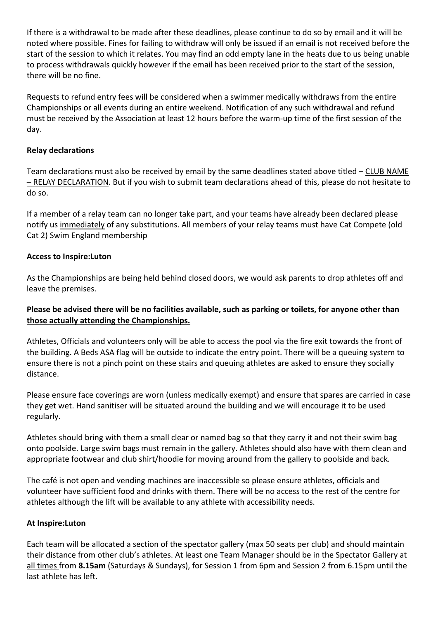If there is a withdrawal to be made after these deadlines, please continue to do so by email and it will be noted where possible. Fines for failing to withdraw will only be issued if an email is not received before the start of the session to which it relates. You may find an odd empty lane in the heats due to us being unable to process withdrawals quickly however if the email has been received prior to the start of the session, there will be no fine.

Requests to refund entry fees will be considered when a swimmer medically withdraws from the entire Championships or all events during an entire weekend. Notification of any such withdrawal and refund must be received by the Association at least 12 hours before the warm-up time of the first session of the day.

# **Relay declarations**

Team declarations must also be received by email by the same deadlines stated above titled – CLUB NAME – RELAY DECLARATION. But if you wish to submit team declarations ahead of this, please do not hesitate to do so.

If a member of a relay team can no longer take part, and your teams have already been declared please notify us immediately of any substitutions. All members of your relay teams must have Cat Compete (old Cat 2) Swim England membership

# **Access to Inspire:Luton**

As the Championships are being held behind closed doors, we would ask parents to drop athletes off and leave the premises.

# **Please be advised there will be no facilities available, such as parking or toilets, for anyone other than those actually attending the Championships.**

Athletes, Officials and volunteers only will be able to access the pool via the fire exit towards the front of the building. A Beds ASA flag will be outside to indicate the entry point. There will be a queuing system to ensure there is not a pinch point on these stairs and queuing athletes are asked to ensure they socially distance.

Please ensure face coverings are worn (unless medically exempt) and ensure that spares are carried in case they get wet. Hand sanitiser will be situated around the building and we will encourage it to be used regularly.

Athletes should bring with them a small clear or named bag so that they carry it and not their swim bag onto poolside. Large swim bags must remain in the gallery. Athletes should also have with them clean and appropriate footwear and club shirt/hoodie for moving around from the gallery to poolside and back.

The café is not open and vending machines are inaccessible so please ensure athletes, officials and volunteer have sufficient food and drinks with them. There will be no access to the rest of the centre for athletes although the lift will be available to any athlete with accessibility needs.

# **At Inspire:Luton**

Each team will be allocated a section of the spectator gallery (max 50 seats per club) and should maintain their distance from other club's athletes. At least one Team Manager should be in the Spectator Gallery at all times from **8.15am** (Saturdays & Sundays), for Session 1 from 6pm and Session 2 from 6.15pm until the last athlete has left.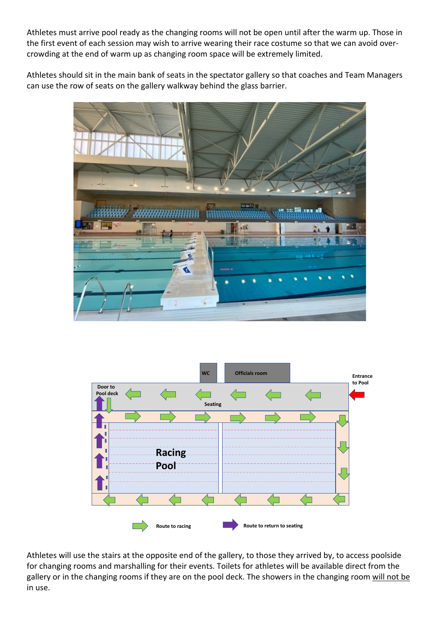Athletes must arrive pool ready as the changing rooms will not be open until after the warm up. Those in the first event of each session may wish to arrive wearing their race costume so that we can avoid overcrowding at the end of warm up as changing room space will be extremely limited.

Athletes should sit in the main bank of seats in the spectator gallery so that coaches and Team Managers can use the row of seats on the gallery walkway behind the glass barrier.





Athletes will use the stairs at the opposite end of the gallery, to those they arrived by, to access poolside for changing rooms and marshalling for their events. Toilets for athletes will be available direct from the gallery or in the changing rooms if they are on the pool deck. The showers in the changing room will not be in use.